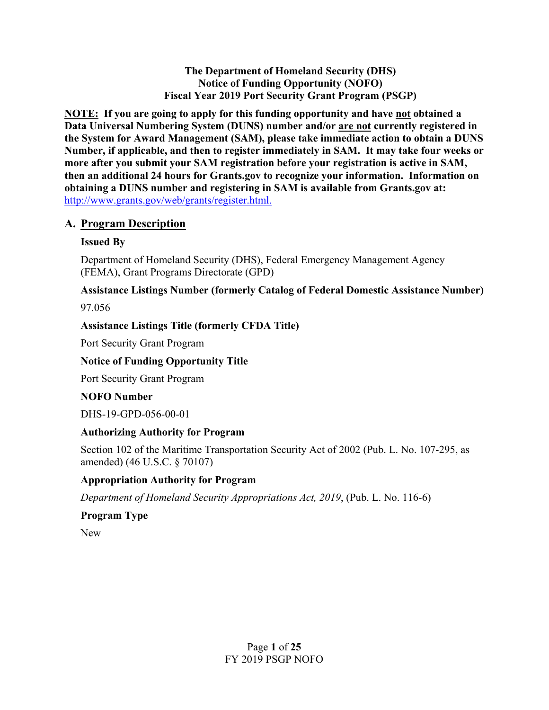### **The Department of Homeland Security (DHS) Notice of Funding Opportunity (NOFO) Fiscal Year 2019 Port Security Grant Program (PSGP)**

**NOTE: If you are going to apply for this funding opportunity and have not obtained a Data Universal Numbering System (DUNS) number and/or are not currently registered in the System for Award Management (SAM), please take immediate action to obtain a DUNS Number, if applicable, and then to register immediately in SAM. It may take four weeks or more after you submit your SAM registration before your registration is active in SAM, then an additional 24 hours for Grants.gov to recognize your information. Information on obtaining a DUNS number and registering in SAM is available from Grants.gov at:**  [http://www.grants.gov/web/grants/register.html.](http://www.grants.gov/web/grants/register.html)

# **A. Program Description**

# **Issued By**

Department of Homeland Security (DHS), Federal Emergency Management Agency (FEMA), Grant Programs Directorate (GPD)

# **Assistance Listings Number (formerly Catalog of Federal Domestic Assistance Number)**

97.056

# **Assistance Listings Title (formerly CFDA Title)**

Port Security Grant Program

# **Notice of Funding Opportunity Title**

Port Security Grant Program

# **NOFO Number**

DHS-19-GPD-056-00-01

# **Authorizing Authority for Program**

Section 102 of the Maritime Transportation Security Act of 2002 (Pub. L. No. 107-295, as amended) (46 U.S.C. § 70107)

# **Appropriation Authority for Program**

*Department of Homeland Security Appropriations Act, 2019*, (Pub. L. No. 116-6)

**Program Type** 

New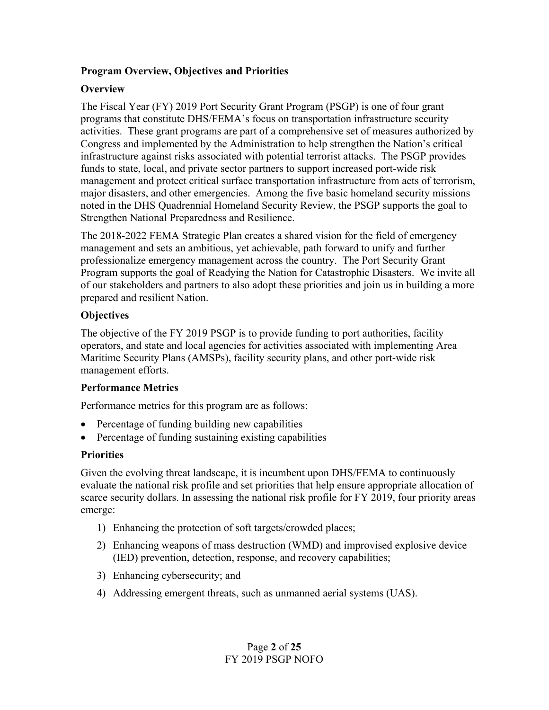### **Program Overview, Objectives and Priorities**

## **Overview**

The Fiscal Year (FY) 2019 Port Security Grant Program (PSGP) is one of four grant programs that constitute DHS/FEMA's focus on transportation infrastructure security activities. These grant programs are part of a comprehensive set of measures authorized by Congress and implemented by the Administration to help strengthen the Nation's critical infrastructure against risks associated with potential terrorist attacks. The PSGP provides funds to state, local, and private sector partners to support increased port-wide risk management and protect critical surface transportation infrastructure from acts of terrorism, major disasters, and other emergencies. Among the five basic homeland security missions noted in the DHS Quadrennial Homeland Security Review, the PSGP supports the goal to Strengthen National Preparedness and Resilience.

The 2018-2022 FEMA Strategic Plan creates a shared vision for the field of emergency management and sets an ambitious, yet achievable, path forward to unify and further professionalize emergency management across the country. The Port Security Grant Program supports the goal of Readying the Nation for Catastrophic Disasters. We invite all of our stakeholders and partners to also adopt these priorities and join us in building a more prepared and resilient Nation.

## **Objectives**

The objective of the FY 2019 PSGP is to provide funding to port authorities, facility operators, and state and local agencies for activities associated with implementing Area Maritime Security Plans (AMSPs), facility security plans, and other port-wide risk management efforts.

#### **Performance Metrics**

Performance metrics for this program are as follows:

- Percentage of funding building new capabilities
- Percentage of funding sustaining existing capabilities

#### **Priorities**

Given the evolving threat landscape, it is incumbent upon DHS/FEMA to continuously evaluate the national risk profile and set priorities that help ensure appropriate allocation of scarce security dollars. In assessing the national risk profile for FY 2019, four priority areas emerge:

- 1) Enhancing the protection of soft targets/crowded places;
- 2) Enhancing weapons of mass destruction (WMD) and improvised explosive device (IED) prevention, detection, response, and recovery capabilities;
- 3) Enhancing cybersecurity; and
- 4) Addressing emergent threats, such as unmanned aerial systems (UAS).

Page **2** of **25** FY 2019 PSGP NOFO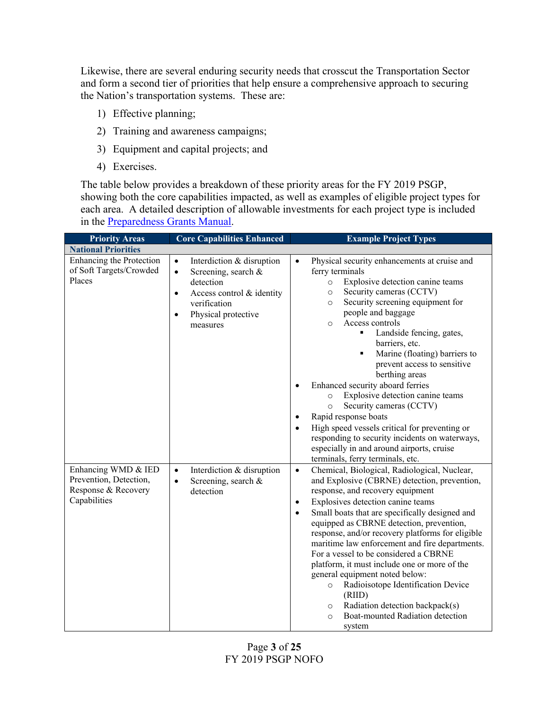Likewise, there are several enduring security needs that crosscut the Transportation Sector and form a second tier of priorities that help ensure a comprehensive approach to securing the Nation's transportation systems. These are:

- 1) Effective planning;
- 2) Training and awareness campaigns;
- 3) Equipment and capital projects; and
- 4) Exercises.

The table below provides a breakdown of these priority areas for the FY 2019 PSGP, showing both the core capabilities impacted, as well as examples of eligible project types for each area. A detailed description of allowable investments for each project type is included in the [Preparedness Grants Manual.](https://www.fema.gov/media-library/assets/documents/178291)

| <b>Priority Areas</b>                                                                | <b>Core Capabilities Enhanced</b>                                                                                                                                                                 | <b>Example Project Types</b>                                                                                                                                                                                                                                                                                                                                                                                                                                                                                                                                                                                                                                                                                                                                                                            |
|--------------------------------------------------------------------------------------|---------------------------------------------------------------------------------------------------------------------------------------------------------------------------------------------------|---------------------------------------------------------------------------------------------------------------------------------------------------------------------------------------------------------------------------------------------------------------------------------------------------------------------------------------------------------------------------------------------------------------------------------------------------------------------------------------------------------------------------------------------------------------------------------------------------------------------------------------------------------------------------------------------------------------------------------------------------------------------------------------------------------|
| <b>National Priorities</b>                                                           |                                                                                                                                                                                                   |                                                                                                                                                                                                                                                                                                                                                                                                                                                                                                                                                                                                                                                                                                                                                                                                         |
| Enhancing the Protection<br>of Soft Targets/Crowded<br>Places                        | Interdiction & disruption<br>$\bullet$<br>Screening, search &<br>$\bullet$<br>detection<br>Access control & identity<br>$\bullet$<br>verification<br>Physical protective<br>$\bullet$<br>measures | Physical security enhancements at cruise and<br>$\bullet$<br>ferry terminals<br>Explosive detection canine teams<br>$\circ$<br>Security cameras (CCTV)<br>$\circ$<br>Security screening equipment for<br>$\circ$<br>people and baggage<br>Access controls<br>$\circ$<br>Landside fencing, gates,<br>٠<br>barriers, etc.<br>Marine (floating) barriers to<br>$\blacksquare$<br>prevent access to sensitive<br>berthing areas<br>Enhanced security aboard ferries<br>$\bullet$<br>Explosive detection canine teams<br>$\circ$<br>Security cameras (CCTV)<br>$\circ$<br>Rapid response boats<br>$\bullet$<br>High speed vessels critical for preventing or<br>$\bullet$<br>responding to security incidents on waterways,<br>especially in and around airports, cruise<br>terminals, ferry terminals, etc. |
| Enhancing WMD & IED<br>Prevention, Detection,<br>Response & Recovery<br>Capabilities | Interdiction & disruption<br>$\bullet$<br>Screening, search &<br>$\bullet$<br>detection                                                                                                           | Chemical, Biological, Radiological, Nuclear,<br>$\bullet$<br>and Explosive (CBRNE) detection, prevention,<br>response, and recovery equipment<br>Explosives detection canine teams<br>$\bullet$<br>Small boats that are specifically designed and<br>$\bullet$<br>equipped as CBRNE detection, prevention,<br>response, and/or recovery platforms for eligible<br>maritime law enforcement and fire departments.<br>For a vessel to be considered a CBRNE<br>platform, it must include one or more of the<br>general equipment noted below:<br>Radioisotope Identification Device<br>$\circ$<br>(RID)<br>Radiation detection backpack(s)<br>$\circ$<br>Boat-mounted Radiation detection<br>$\circ$<br>system                                                                                            |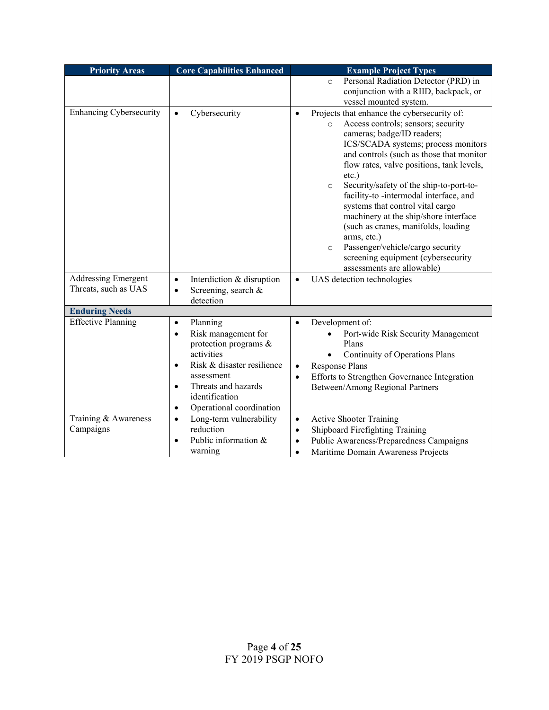| <b>Priority Areas</b>                              | <b>Core Capabilities Enhanced</b>                                                                                                                                                                                                                        | <b>Example Project Types</b>                                                                                                                                                                                                                                                                                                                                                                                                                                                                                                                                                                                                             |
|----------------------------------------------------|----------------------------------------------------------------------------------------------------------------------------------------------------------------------------------------------------------------------------------------------------------|------------------------------------------------------------------------------------------------------------------------------------------------------------------------------------------------------------------------------------------------------------------------------------------------------------------------------------------------------------------------------------------------------------------------------------------------------------------------------------------------------------------------------------------------------------------------------------------------------------------------------------------|
|                                                    |                                                                                                                                                                                                                                                          | Personal Radiation Detector (PRD) in<br>$\circ$<br>conjunction with a RIID, backpack, or<br>vessel mounted system.                                                                                                                                                                                                                                                                                                                                                                                                                                                                                                                       |
| <b>Enhancing Cybersecurity</b>                     | Cybersecurity<br>$\bullet$                                                                                                                                                                                                                               | Projects that enhance the cybersecurity of:<br>$\bullet$<br>Access controls; sensors; security<br>$\circ$<br>cameras; badge/ID readers;<br>ICS/SCADA systems; process monitors<br>and controls (such as those that monitor<br>flow rates, valve positions, tank levels,<br>$etc.$ )<br>Security/safety of the ship-to-port-to-<br>$\circ$<br>facility-to-intermodal interface, and<br>systems that control vital cargo<br>machinery at the ship/shore interface<br>(such as cranes, manifolds, loading<br>arms, etc.)<br>Passenger/vehicle/cargo security<br>$\circ$<br>screening equipment (cybersecurity<br>assessments are allowable) |
| <b>Addressing Emergent</b><br>Threats, such as UAS | Interdiction & disruption<br>$\bullet$<br>Screening, search &<br>$\bullet$<br>detection                                                                                                                                                                  | UAS detection technologies<br>$\bullet$                                                                                                                                                                                                                                                                                                                                                                                                                                                                                                                                                                                                  |
| <b>Enduring Needs</b>                              |                                                                                                                                                                                                                                                          |                                                                                                                                                                                                                                                                                                                                                                                                                                                                                                                                                                                                                                          |
| <b>Effective Planning</b>                          | Planning<br>$\bullet$<br>Risk management for<br>$\bullet$<br>protection programs &<br>activities<br>Risk & disaster resilience<br>$\bullet$<br>assessment<br>Threats and hazards<br>$\bullet$<br>identification<br>Operational coordination<br>$\bullet$ | Development of:<br>$\bullet$<br>Port-wide Risk Security Management<br>Plans<br>Continuity of Operations Plans<br><b>Response Plans</b><br>٠<br>Efforts to Strengthen Governance Integration<br>$\bullet$<br>Between/Among Regional Partners                                                                                                                                                                                                                                                                                                                                                                                              |
| Training & Awareness<br>Campaigns                  | Long-term vulnerability<br>$\bullet$<br>reduction<br>Public information &<br>$\bullet$<br>warning                                                                                                                                                        | <b>Active Shooter Training</b><br>$\bullet$<br>Shipboard Firefighting Training<br>$\bullet$<br>Public Awareness/Preparedness Campaigns<br>$\bullet$<br>Maritime Domain Awareness Projects<br>$\bullet$                                                                                                                                                                                                                                                                                                                                                                                                                                   |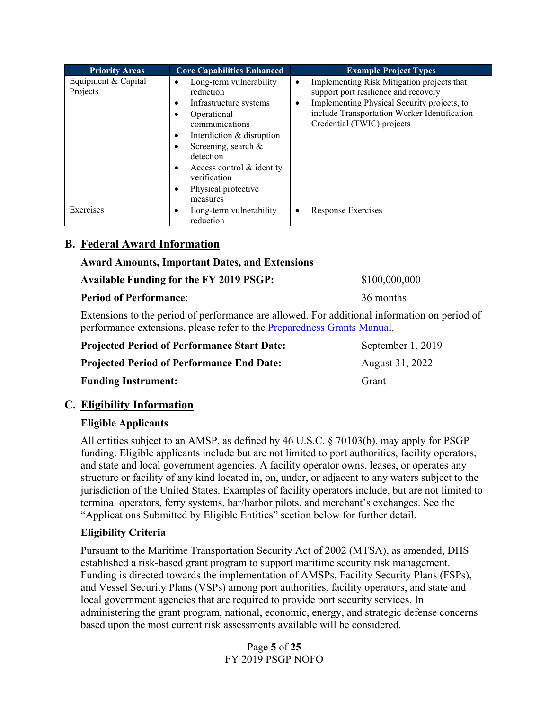| <b>Priority Areas</b>           | <b>Core Capabilities Enhanced</b>                                                                                                                                                                                                                                                                   | <b>Example Project Types</b>                                                                                                                                                                                                      |
|---------------------------------|-----------------------------------------------------------------------------------------------------------------------------------------------------------------------------------------------------------------------------------------------------------------------------------------------------|-----------------------------------------------------------------------------------------------------------------------------------------------------------------------------------------------------------------------------------|
| Equipment & Capital<br>Projects | Long-term vulnerability<br>$\bullet$<br>reduction<br>Infrastructure systems<br>٠<br>Operational<br>٠<br>communications<br>Interdiction & disruption<br>٠<br>Screening, search &<br>٠<br>detection<br>Access control & identity<br>$\bullet$<br>verification<br>Physical protective<br>٠<br>measures | Implementing Risk Mitigation projects that<br>$\bullet$<br>support port resilience and recovery<br>Implementing Physical Security projects, to<br>٠<br>include Transportation Worker Identification<br>Credential (TWIC) projects |
| Exercises                       | Long-term vulnerability<br>٠<br>reduction                                                                                                                                                                                                                                                           | Response Exercises<br>٠                                                                                                                                                                                                           |

# **B. Federal Award Information**

#### **Award Amounts, Important Dates, and Extensions**

| <b>Available Funding for the FY 2019 PSGP:</b> | \$100,000,000 |
|------------------------------------------------|---------------|
| <b>Period of Performance:</b>                  | 36 months     |

Extensions to the period of performance are allowed. For additional information on period of performance extensions, please refer to the [Preparedness Grants Manual.](https://www.fema.gov/media-library/assets/documents/178291)

| <b>Projected Period of Performance Start Date:</b> | September 1, 2019 |
|----------------------------------------------------|-------------------|
| <b>Projected Period of Performance End Date:</b>   | August 31, 2022   |
| <b>Funding Instrument:</b>                         | Grant             |

## **C. Eligibility Information**

#### **Eligible Applicants**

All entities subject to an AMSP, as defined by 46 U.S.C. § 70103(b), may apply for PSGP funding. Eligible applicants include but are not limited to port authorities, facility operators, and state and local government agencies. A facility operator owns, leases, or operates any structure or facility of any kind located in, on, under, or adjacent to any waters subject to the jurisdiction of the United States. Examples of facility operators include, but are not limited to terminal operators, ferry systems, bar/harbor pilots, and merchant's exchanges. See the "Applications Submitted by Eligible Entities" section below for further detail.

#### **Eligibility Criteria**

Pursuant to the Maritime Transportation Security Act of 2002 (MTSA), as amended, DHS established a risk-based grant program to support maritime security risk management. Funding is directed towards the implementation of AMSPs, Facility Security Plans (FSPs), and Vessel Security Plans (VSPs) among port authorities, facility operators, and state and local government agencies that are required to provide port security services. In administering the grant program, national, economic, energy, and strategic defense concerns based upon the most current risk assessments available will be considered.

> Page **5** of **25** FY 2019 PSGP NOFO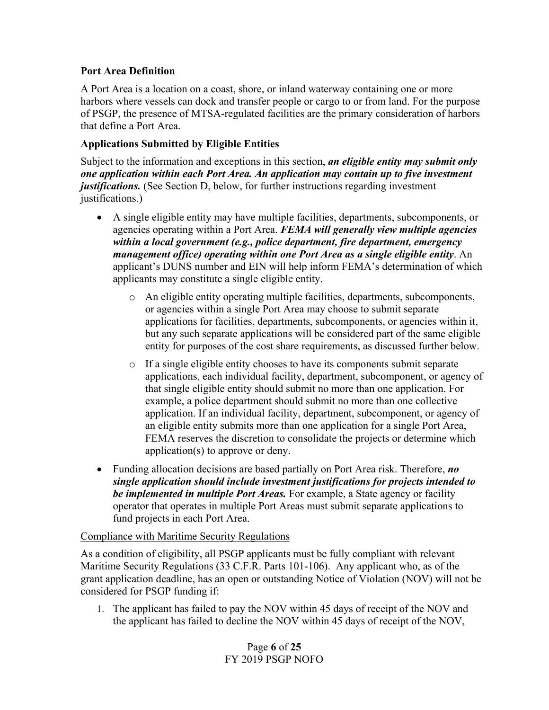### **Port Area Definition**

A Port Area is a location on a coast, shore, or inland waterway containing one or more harbors where vessels can dock and transfer people or cargo to or from land. For the purpose of PSGP, the presence of MTSA-regulated facilities are the primary consideration of harbors that define a Port Area.

### **Applications Submitted by Eligible Entities**

Subject to the information and exceptions in this section, *an eligible entity may submit only one application within each Port Area. An application may contain up to five investment justifications.* (See Section D, below, for further instructions regarding investment justifications.)

- A single eligible entity may have multiple facilities, departments, subcomponents, or agencies operating within a Port Area. *FEMA will generally view multiple agencies within a local government (e.g., police department, fire department, emergency management office) operating within one Port Area as a single eligible entity*. An applicant's DUNS number and EIN will help inform FEMA's determination of which applicants may constitute a single eligible entity.
	- o An eligible entity operating multiple facilities, departments, subcomponents, or agencies within a single Port Area may choose to submit separate applications for facilities, departments, subcomponents, or agencies within it, but any such separate applications will be considered part of the same eligible entity for purposes of the cost share requirements, as discussed further below.
	- o If a single eligible entity chooses to have its components submit separate applications, each individual facility, department, subcomponent, or agency of that single eligible entity should submit no more than one application. For example, a police department should submit no more than one collective application. If an individual facility, department, subcomponent, or agency of an eligible entity submits more than one application for a single Port Area, FEMA reserves the discretion to consolidate the projects or determine which application(s) to approve or deny.
- Funding allocation decisions are based partially on Port Area risk. Therefore, *no single application should include investment justifications for projects intended to be implemented in multiple Port Areas.* For example, a State agency or facility operator that operates in multiple Port Areas must submit separate applications to fund projects in each Port Area.

#### Compliance with Maritime Security Regulations

As a condition of eligibility, all PSGP applicants must be fully compliant with relevant Maritime Security Regulations (33 C.F.R. Parts 101-106). Any applicant who, as of the grant application deadline, has an open or outstanding Notice of Violation (NOV) will not be considered for PSGP funding if:

1. The applicant has failed to pay the NOV within 45 days of receipt of the NOV and the applicant has failed to decline the NOV within 45 days of receipt of the NOV,

#### Page **6** of **25** FY 2019 PSGP NOFO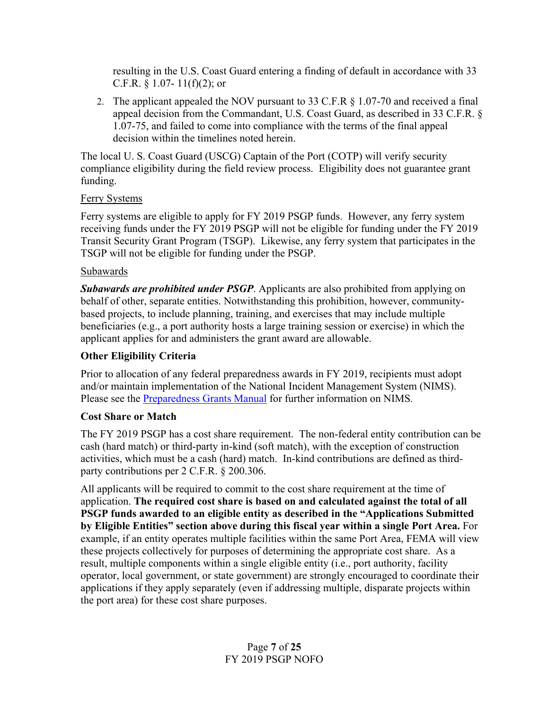resulting in the U.S. Coast Guard entering a finding of default in accordance with 33 C.F.R. § 1.07- 11(f)(2); or

2. The applicant appealed the NOV pursuant to 33 C.F.R § 1.07-70 and received a final appeal decision from the Commandant, U.S. Coast Guard, as described in 33 C.F.R. § 1.07-75, and failed to come into compliance with the terms of the final appeal decision within the timelines noted herein.

The local U. S. Coast Guard (USCG) Captain of the Port (COTP) will verify security compliance eligibility during the field review process. Eligibility does not guarantee grant funding.

#### Ferry Systems

Ferry systems are eligible to apply for FY 2019 PSGP funds. However, any ferry system receiving funds under the FY 2019 PSGP will not be eligible for funding under the FY 2019 Transit Security Grant Program (TSGP). Likewise, any ferry system that participates in the TSGP will not be eligible for funding under the PSGP.

### Subawards

*Subawards are prohibited under PSGP*. Applicants are also prohibited from applying on behalf of other, separate entities. Notwithstanding this prohibition, however, communitybased projects, to include planning, training, and exercises that may include multiple beneficiaries (e.g., a port authority hosts a large training session or exercise) in which the applicant applies for and administers the grant award are allowable.

## **Other Eligibility Criteria**

Prior to allocation of any federal preparedness awards in FY 2019, recipients must adopt and/or maintain implementation of the National Incident Management System (NIMS). Please see the [Preparedness Grants Manual](https://www.fema.gov/media-library/assets/documents/178291) for further information on NIMS*.*

## **Cost Share or Match**

The FY 2019 PSGP has a cost share requirement. The non-federal entity contribution can be cash (hard match) or third-party in-kind (soft match), with the exception of construction activities, which must be a cash (hard) match. In-kind contributions are defined as thirdparty contributions per 2 C.F.R. § 200.306.

All applicants will be required to commit to the cost share requirement at the time of application. **The required cost share is based on and calculated against the total of all PSGP funds awarded to an eligible entity as described in the "Applications Submitted by Eligible Entities" section above during this fiscal year within a single Port Area.** For example, if an entity operates multiple facilities within the same Port Area, FEMA will view these projects collectively for purposes of determining the appropriate cost share. As a result, multiple components within a single eligible entity (i.e., port authority, facility operator, local government, or state government) are strongly encouraged to coordinate their applications if they apply separately (even if addressing multiple, disparate projects within the port area) for these cost share purposes.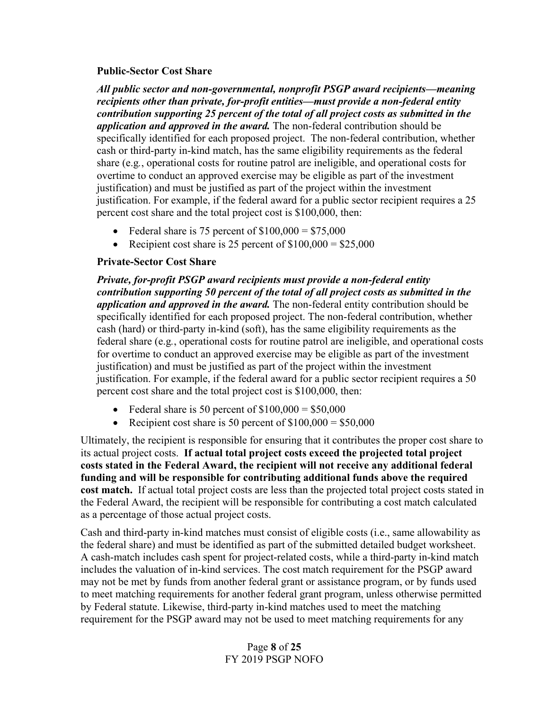#### **Public-Sector Cost Share**

*All public sector and non-governmental, nonprofit PSGP award recipients—meaning recipients other than private, for-profit entities—must provide a non-federal entity contribution supporting 25 percent of the total of all project costs as submitted in the application and approved in the award.* The non-federal contribution should be specifically identified for each proposed project. The non-federal contribution, whether cash or third-party in-kind match, has the same eligibility requirements as the federal share (e.g*.*, operational costs for routine patrol are ineligible, and operational costs for overtime to conduct an approved exercise may be eligible as part of the investment justification) and must be justified as part of the project within the investment justification. For example, if the federal award for a public sector recipient requires a 25 percent cost share and the total project cost is \$100,000, then:

- Federal share is 75 percent of  $$100,000 = $75,000$
- Recipient cost share is 25 percent of  $$100,000 = $25,000$

### **Private-Sector Cost Share**

*Private, for-profit PSGP award recipients must provide a non-federal entity contribution supporting 50 percent of the total of all project costs as submitted in the application and approved in the award.* The non-federal entity contribution should be specifically identified for each proposed project. The non-federal contribution, whether cash (hard) or third-party in-kind (soft), has the same eligibility requirements as the federal share (e.g*.*, operational costs for routine patrol are ineligible, and operational costs for overtime to conduct an approved exercise may be eligible as part of the investment justification) and must be justified as part of the project within the investment justification. For example, if the federal award for a public sector recipient requires a 50 percent cost share and the total project cost is \$100,000, then:

- Federal share is 50 percent of  $$100,000 = $50,000$
- Recipient cost share is 50 percent of  $$100,000 = $50,000$

Ultimately, the recipient is responsible for ensuring that it contributes the proper cost share to its actual project costs. **If actual total project costs exceed the projected total project costs stated in the Federal Award, the recipient will not receive any additional federal funding and will be responsible for contributing additional funds above the required cost match.** If actual total project costs are less than the projected total project costs stated in the Federal Award, the recipient will be responsible for contributing a cost match calculated as a percentage of those actual project costs.

Cash and third-party in-kind matches must consist of eligible costs (i.e., same allowability as the federal share) and must be identified as part of the submitted detailed budget worksheet. A cash-match includes cash spent for project-related costs, while a third-party in-kind match includes the valuation of in-kind services. The cost match requirement for the PSGP award may not be met by funds from another federal grant or assistance program, or by funds used to meet matching requirements for another federal grant program, unless otherwise permitted by Federal statute. Likewise, third-party in-kind matches used to meet the matching requirement for the PSGP award may not be used to meet matching requirements for any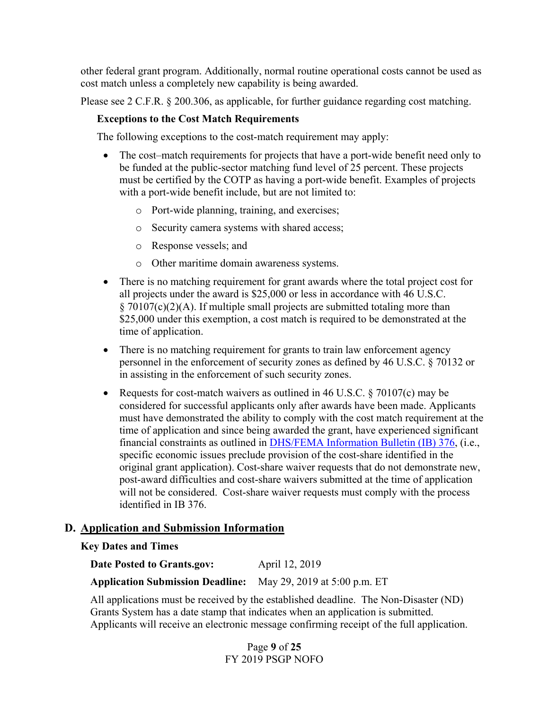other federal grant program. Additionally, normal routine operational costs cannot be used as cost match unless a completely new capability is being awarded.

Please see 2 C.F.R. § 200.306, as applicable, for further guidance regarding cost matching.

#### **Exceptions to the Cost Match Requirements**

The following exceptions to the cost-match requirement may apply:

- The cost-match requirements for projects that have a port-wide benefit need only to be funded at the public-sector matching fund level of 25 percent. These projects must be certified by the COTP as having a port-wide benefit. Examples of projects with a port-wide benefit include, but are not limited to:
	- o Port-wide planning, training, and exercises;
	- o Security camera systems with shared access;
	- o Response vessels; and
	- o Other maritime domain awareness systems.
- There is no matching requirement for grant awards where the total project cost for all projects under the award is \$25,000 or less in accordance with 46 U.S.C.  $\S$  70107(c)(2)(A). If multiple small projects are submitted totaling more than \$25,000 under this exemption, a cost match is required to be demonstrated at the time of application.
- There is no matching requirement for grants to train law enforcement agency personnel in the enforcement of security zones as defined by 46 U.S.C. § 70132 or in assisting in the enforcement of such security zones.
- Requests for cost-match waivers as outlined in 46 U.S.C. § 70107(c) may be considered for successful applicants only after awards have been made. Applicants must have demonstrated the ability to comply with the cost match requirement at the time of application and since being awarded the grant, have experienced significant financial constraints as outlined in [DHS/FEMA Information Bulletin \(IB\)](https://www.fema.gov/pdf/government/grant/bulletins/info376.pdf) 376, (i.e., specific economic issues preclude provision of the cost-share identified in the original grant application). Cost-share waiver requests that do not demonstrate new, post-award difficulties and cost-share waivers submitted at the time of application will not be considered. Cost-share waiver requests must comply with the process identified in IB 376.

#### **D. Application and Submission Information**

#### **Key Dates and Times**

**Date Posted to Grants.gov:** April 12, 2019

**Application Submission Deadline:** May 29, 2019 at 5:00 p.m. ET

All applications must be received by the established deadline. The Non-Disaster (ND) Grants System has a date stamp that indicates when an application is submitted. Applicants will receive an electronic message confirming receipt of the full application.

> Page **9** of **25** FY 2019 PSGP NOFO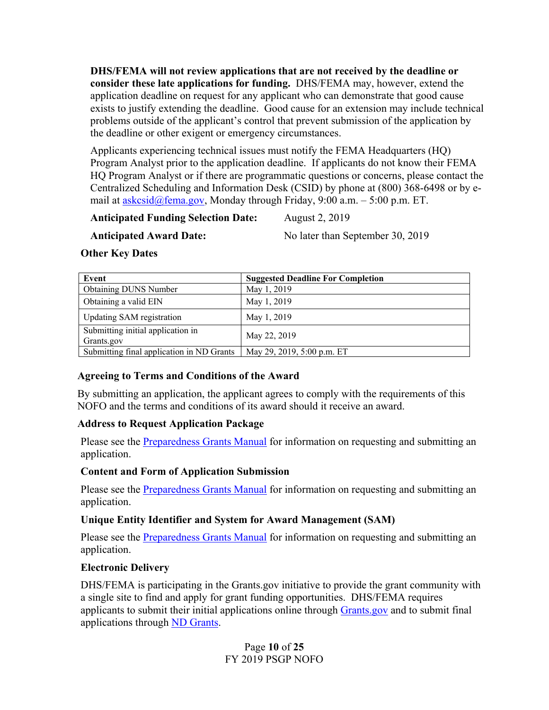**DHS/FEMA will not review applications that are not received by the deadline or consider these late applications for funding.** DHS/FEMA may, however, extend the application deadline on request for any applicant who can demonstrate that good cause exists to justify extending the deadline. Good cause for an extension may include technical problems outside of the applicant's control that prevent submission of the application by the deadline or other exigent or emergency circumstances.

Applicants experiencing technical issues must notify the FEMA Headquarters (HQ) Program Analyst prior to the application deadline. If applicants do not know their FEMA HQ Program Analyst or if there are programmatic questions or concerns, please contact the Centralized Scheduling and Information Desk (CSID) by phone at (800) 368-6498 or by email at  $a$ skcsid@fema.gov, Monday through Friday, 9:00 a.m. – 5:00 p.m. ET.

### **Anticipated Funding Selection Date:** August 2, 2019

Anticipated Award Date: No later than September 30, 2019

### **Other Key Dates**

| Event                                           | <b>Suggested Deadline For Completion</b> |
|-------------------------------------------------|------------------------------------------|
| <b>Obtaining DUNS Number</b>                    | May 1, 2019                              |
| Obtaining a valid EIN                           | May 1, 2019                              |
| <b>Updating SAM</b> registration                | May 1, 2019                              |
| Submitting initial application in<br>Grants.gov | May 22, 2019                             |
| Submitting final application in ND Grants       | May 29, 2019, 5:00 p.m. ET               |

## **Agreeing to Terms and Conditions of the Award**

By submitting an application, the applicant agrees to comply with the requirements of this NOFO and the terms and conditions of its award should it receive an award.

#### **Address to Request Application Package**

Please see the [Preparedness Grants Manual](https://www.fema.gov/media-library/assets/documents/178291) for information on requesting and submitting an application.

#### **Content and Form of Application Submission**

Please see the [Preparedness Grants Manual](https://www.fema.gov/media-library/assets/documents/178291) for information on requesting and submitting an application.

#### **Unique Entity Identifier and System for Award Management (SAM)**

Please see the [Preparedness Grants Manual](https://www.fema.gov/media-library/assets/documents/178291) for information on requesting and submitting an application.

## **Electronic Delivery**

DHS/FEMA is participating in the Grants.gov initiative to provide the grant community with a single site to find and apply for grant funding opportunities. DHS/FEMA requires applicants to submit their initial applications online through [Grants.gov](http://www.grants.gov/) and to submit final applications through [ND Grants.](https://portal.fema.gov/)

> Page **10** of **25** FY 2019 PSGP NOFO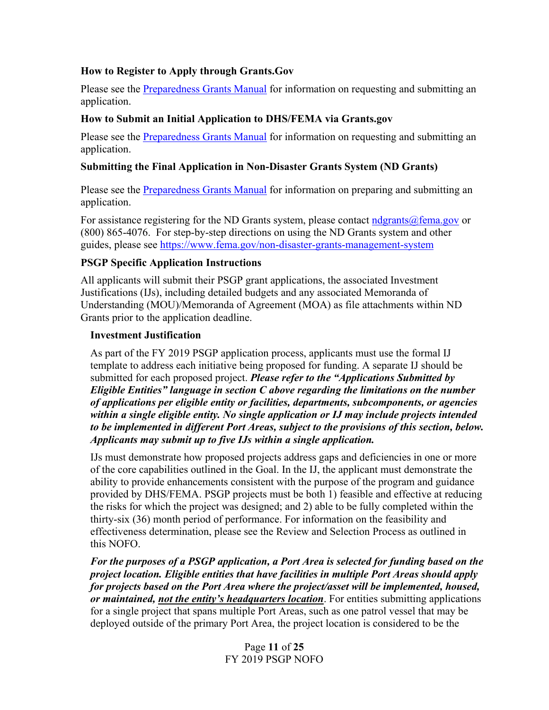#### **How to Register to Apply through Grants.Gov**

Please see the [Preparedness Grants Manual](https://www.fema.gov/media-library/assets/documents/178291) for information on requesting and submitting an application.

#### **How to Submit an Initial Application to DHS/FEMA via Grants.gov**

Please see the [Preparedness Grants Manual](https://www.fema.gov/media-library/assets/documents/178291) for information on requesting and submitting an application.

#### **Submitting the Final Application in Non-Disaster Grants System (ND Grants)**

Please see the **Preparedness Grants Manual** for information on preparing and submitting an application.

For assistance registering for the ND Grants system, please contact  $\frac{ndgrants@fema.gov}{m}$  or (800) 865-4076. For step-by-step directions on using the ND Grants system and other guides, please see<https://www.fema.gov/non-disaster-grants-management-system>

#### **PSGP Specific Application Instructions**

All applicants will submit their PSGP grant applications, the associated Investment Justifications (IJs), including detailed budgets and any associated Memoranda of Understanding (MOU)/Memoranda of Agreement (MOA) as file attachments within ND Grants prior to the application deadline.

#### **Investment Justification**

As part of the FY 2019 PSGP application process, applicants must use the formal IJ template to address each initiative being proposed for funding. A separate IJ should be submitted for each proposed project. *Please refer to the "Applications Submitted by Eligible Entities" language in section C above regarding the limitations on the number of applications per eligible entity or facilities, departments, subcomponents, or agencies within a single eligible entity. No single application or IJ may include projects intended to be implemented in different Port Areas, subject to the provisions of this section, below. Applicants may submit up to five IJs within a single application.*

IJs must demonstrate how proposed projects address gaps and deficiencies in one or more of the core capabilities outlined in the Goal. In the IJ, the applicant must demonstrate the ability to provide enhancements consistent with the purpose of the program and guidance provided by DHS/FEMA. PSGP projects must be both 1) feasible and effective at reducing the risks for which the project was designed; and 2) able to be fully completed within the thirty-six (36) month period of performance. For information on the feasibility and effectiveness determination, please see the Review and Selection Process as outlined in this NOFO.

*For the purposes of a PSGP application, a Port Area is selected for funding based on the project location. Eligible entities that have facilities in multiple Port Areas should apply for projects based on the Port Area where the project/asset will be implemented, housed, or maintained, not the entity's headquarters location*. For entities submitting applications for a single project that spans multiple Port Areas, such as one patrol vessel that may be deployed outside of the primary Port Area, the project location is considered to be the

> Page **11** of **25** FY 2019 PSGP NOFO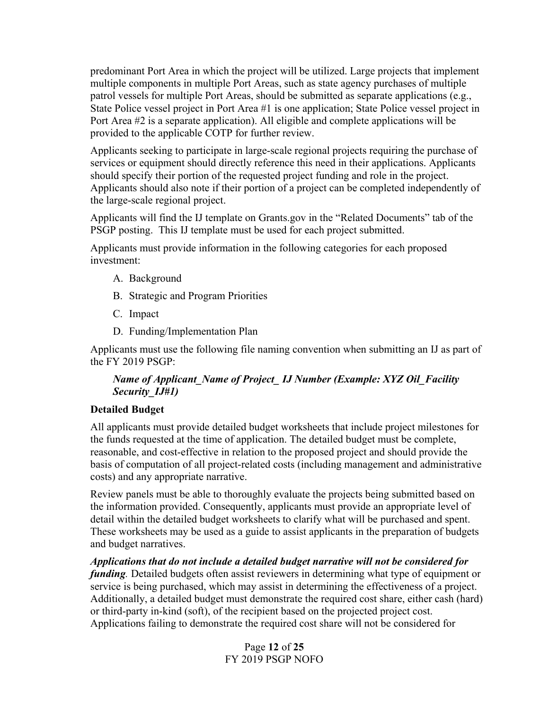predominant Port Area in which the project will be utilized. Large projects that implement multiple components in multiple Port Areas, such as state agency purchases of multiple patrol vessels for multiple Port Areas, should be submitted as separate applications (e.g., State Police vessel project in Port Area #1 is one application; State Police vessel project in Port Area #2 is a separate application). All eligible and complete applications will be provided to the applicable COTP for further review.

Applicants seeking to participate in large-scale regional projects requiring the purchase of services or equipment should directly reference this need in their applications. Applicants should specify their portion of the requested project funding and role in the project. Applicants should also note if their portion of a project can be completed independently of the large-scale regional project.

Applicants will find the IJ template on Grants.gov in the "Related Documents" tab of the PSGP posting. This IJ template must be used for each project submitted.

Applicants must provide information in the following categories for each proposed investment:

- A. Background
- B. Strategic and Program Priorities
- C. Impact
- D. Funding/Implementation Plan

Applicants must use the following file naming convention when submitting an IJ as part of the FY 2019 PSGP:

### *Name of Applicant\_Name of Project\_ IJ Number (Example: XYZ Oil\_Facility Security\_IJ#1)*

#### **Detailed Budget**

All applicants must provide detailed budget worksheets that include project milestones for the funds requested at the time of application. The detailed budget must be complete, reasonable, and cost-effective in relation to the proposed project and should provide the basis of computation of all project-related costs (including management and administrative costs) and any appropriate narrative.

Review panels must be able to thoroughly evaluate the projects being submitted based on the information provided. Consequently, applicants must provide an appropriate level of detail within the detailed budget worksheets to clarify what will be purchased and spent. These worksheets may be used as a guide to assist applicants in the preparation of budgets and budget narratives.

*Applications that do not include a detailed budget narrative will not be considered for funding.* Detailed budgets often assist reviewers in determining what type of equipment or service is being purchased, which may assist in determining the effectiveness of a project. Additionally, a detailed budget must demonstrate the required cost share, either cash (hard) or third-party in-kind (soft), of the recipient based on the projected project cost. Applications failing to demonstrate the required cost share will not be considered for

> Page **12** of **25** FY 2019 PSGP NOFO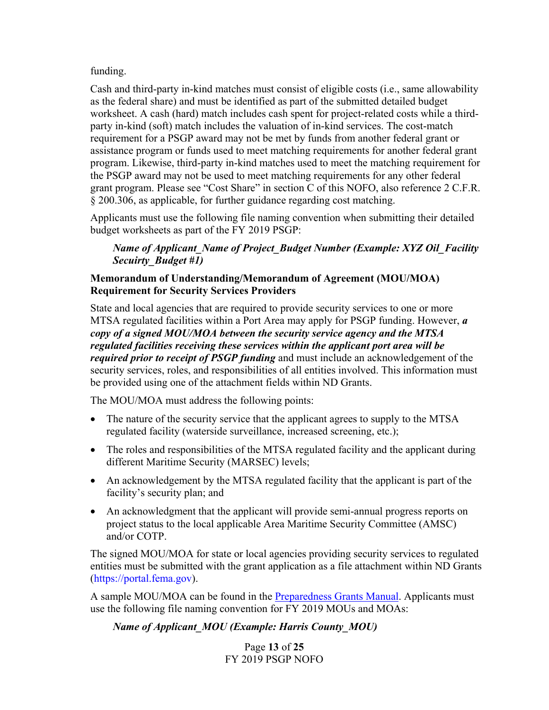#### funding.

Cash and third-party in-kind matches must consist of eligible costs (i.e., same allowability as the federal share) and must be identified as part of the submitted detailed budget worksheet. A cash (hard) match includes cash spent for project-related costs while a thirdparty in-kind (soft) match includes the valuation of in-kind services. The cost-match requirement for a PSGP award may not be met by funds from another federal grant or assistance program or funds used to meet matching requirements for another federal grant program. Likewise, third-party in-kind matches used to meet the matching requirement for the PSGP award may not be used to meet matching requirements for any other federal grant program. Please see "Cost Share" in section C of this NOFO, also reference 2 C.F.R. § 200.306, as applicable, for further guidance regarding cost matching.

Applicants must use the following file naming convention when submitting their detailed budget worksheets as part of the FY 2019 PSGP:

### *Name of Applicant\_Name of Project\_Budget Number (Example: XYZ Oil\_Facility Secuirty\_Budget #1)*

### **Memorandum of Understanding/Memorandum of Agreement (MOU/MOA) Requirement for Security Services Providers**

State and local agencies that are required to provide security services to one or more MTSA regulated facilities within a Port Area may apply for PSGP funding. However, *a copy of a signed MOU/MOA between the security service agency and the MTSA regulated facilities receiving these services within the applicant port area will be required prior to receipt of PSGP funding* and must include an acknowledgement of the security services, roles, and responsibilities of all entities involved. This information must be provided using one of the attachment fields within ND Grants.

The MOU/MOA must address the following points:

- The nature of the security service that the applicant agrees to supply to the MTSA regulated facility (waterside surveillance, increased screening, etc.);
- The roles and responsibilities of the MTSA regulated facility and the applicant during different Maritime Security (MARSEC) levels;
- An acknowledgement by the MTSA regulated facility that the applicant is part of the facility's security plan; and
- An acknowledgment that the applicant will provide semi-annual progress reports on project status to the local applicable Area Maritime Security Committee (AMSC) and/or COTP.

The signed MOU/MOA for state or local agencies providing security services to regulated entities must be submitted with the grant application as a file attachment within ND Grants [\(https://portal.fema.gov\)](https://portal.fema.gov/).

A sample MOU/MOA can be found in the [Preparedness Grants Manual.](https://www.fema.gov/media-library/assets/documents/178291) Applicants must use the following file naming convention for FY 2019 MOUs and MOAs:

# *Name of Applicant\_MOU (Example: Harris County\_MOU)*

Page **13** of **25** FY 2019 PSGP NOFO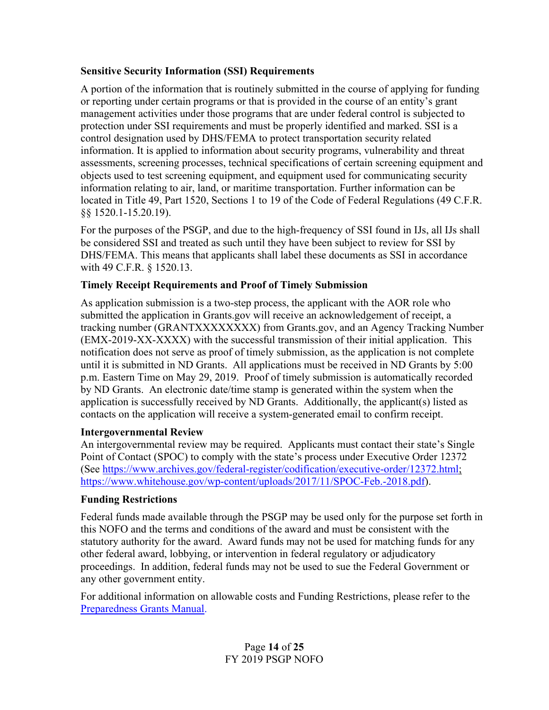### **Sensitive Security Information (SSI) Requirements**

A portion of the information that is routinely submitted in the course of applying for funding or reporting under certain programs or that is provided in the course of an entity's grant management activities under those programs that are under federal control is subjected to protection under SSI requirements and must be properly identified and marked. SSI is a control designation used by DHS/FEMA to protect transportation security related information. It is applied to information about security programs, vulnerability and threat assessments, screening processes, technical specifications of certain screening equipment and objects used to test screening equipment, and equipment used for communicating security information relating to air, land, or maritime transportation. Further information can be located in Title 49, Part 1520, Sections 1 to 19 of the Code of Federal Regulations (49 C.F.R. §§ 1520.1-15.20.19).

For the purposes of the PSGP, and due to the high-frequency of SSI found in IJs, all IJs shall be considered SSI and treated as such until they have been subject to review for SSI by DHS/FEMA. This means that applicants shall label these documents as SSI in accordance with 49 C.F.R. § 1520.13.

### **Timely Receipt Requirements and Proof of Timely Submission**

As application submission is a two-step process, the applicant with the AOR role who submitted the application in Grants.gov will receive an acknowledgement of receipt, a tracking number (GRANTXXXXXXXX) from Grants.gov, and an Agency Tracking Number (EMX-2019-XX-XXXX) with the successful transmission of their initial application. This notification does not serve as proof of timely submission, as the application is not complete until it is submitted in ND Grants. All applications must be received in ND Grants by 5:00 p.m. Eastern Time on May 29, 2019. Proof of timely submission is automatically recorded by ND Grants. An electronic date/time stamp is generated within the system when the application is successfully received by ND Grants. Additionally, the applicant(s) listed as contacts on the application will receive a system-generated email to confirm receipt.

#### **Intergovernmental Review**

An intergovernmental review may be required. Applicants must contact their state's Single Point of Contact (SPOC) to comply with the state's process under Executive Order 12372 (See [https://www.archives.gov/federal-register/codification/executive-order/12372.html;](https://www.archives.gov/federal-register/codification/executive-order/12372.html) [https://www.whitehouse.gov/wp-content/uploads/2017/11/SPOC-Feb.-2018.pdf\)](https://www.whitehouse.gov/wp-content/uploads/2017/11/SPOC-Feb.-2018.pdf).

#### **Funding Restrictions**

Federal funds made available through the PSGP may be used only for the purpose set forth in this NOFO and the terms and conditions of the award and must be consistent with the statutory authority for the award. Award funds may not be used for matching funds for any other federal award, lobbying, or intervention in federal regulatory or adjudicatory proceedings. In addition, federal funds may not be used to sue the Federal Government or any other government entity.

For additional information on allowable costs and Funding Restrictions, please refer to the [Preparedness Grants Manual.](https://www.fema.gov/media-library/assets/documents/178291)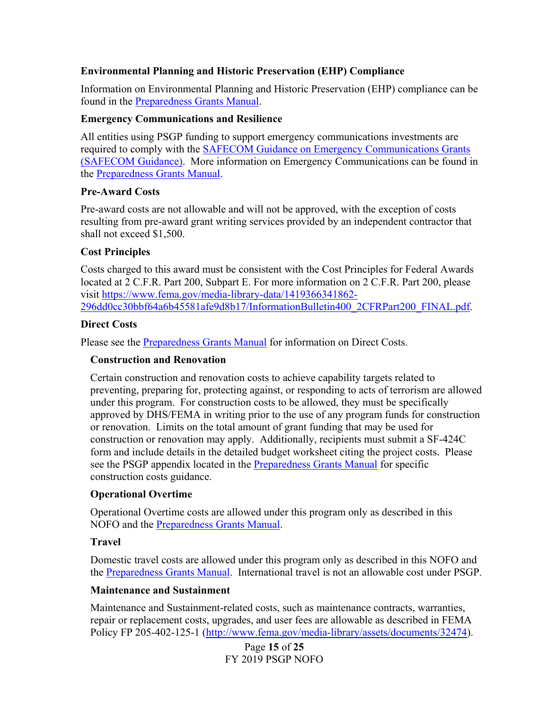### **Environmental Planning and Historic Preservation (EHP) Compliance**

Information on Environmental Planning and Historic Preservation (EHP) compliance can be found in the [Preparedness Grants Manual.](https://www.fema.gov/media-library/assets/documents/178291)

### **Emergency Communications and Resilience**

All entities using PSGP funding to support emergency communications investments are required to comply with the [SAFECOM Guidance on Emergency Communications Grants](https://www.dhs.gov/safecom/funding)  [\(SAFECOM Guidance\).](https://www.dhs.gov/safecom/funding) More information on Emergency Communications can be found in the [Preparedness Grants Manual.](https://www.fema.gov/media-library/assets/documents/178291)

#### **Pre-Award Costs**

Pre-award costs are not allowable and will not be approved, with the exception of costs resulting from pre-award grant writing services provided by an independent contractor that shall not exceed \$1,500.

## **Cost Principles**

Costs charged to this award must be consistent with the Cost Principles for Federal Awards located at 2 C.F.R. Part 200, Subpart E. For more information on 2 C.F.R. Part 200, please visit [https://www.fema.gov/media-library-data/1419366341862-](https://www.fema.gov/media-library-data/1419366341862-296dd0cc30bbf64a6b45581afe9d8b17/InformationBulletin400_2CFRPart200_FINAL.pdf) [296dd0cc30bbf64a6b45581afe9d8b17/InformationBulletin400\\_2CFRPart200\\_FINAL.pdf.](https://www.fema.gov/media-library-data/1419366341862-296dd0cc30bbf64a6b45581afe9d8b17/InformationBulletin400_2CFRPart200_FINAL.pdf)

## **Direct Costs**

Please see the [Preparedness Grants Manual](https://www.fema.gov/media-library/assets/documents/178291) for information on Direct Costs.

### **Construction and Renovation**

Certain construction and renovation costs to achieve capability targets related to preventing, preparing for, protecting against, or responding to acts of terrorism are allowed under this program. For construction costs to be allowed, they must be specifically approved by DHS/FEMA in writing prior to the use of any program funds for construction or renovation. Limits on the total amount of grant funding that may be used for construction or renovation may apply. Additionally, recipients must submit a SF-424C form and include details in the detailed budget worksheet citing the project costs. Please see the PSGP appendix located in the [Preparedness Grants Manual](https://www.fema.gov/media-library/assets/documents/178291) for specific construction costs guidance.

#### **Operational Overtime**

Operational Overtime costs are allowed under this program only as described in this NOFO and the [Preparedness Grants](https://www.fema.gov/media-library/assets/documents/178291) Manual.

## **Travel**

Domestic travel costs are allowed under this program only as described in this NOFO and the [Preparedness Grants](https://www.fema.gov/media-library/assets/documents/178291) Manual. International travel is not an allowable cost under PSGP.

#### **Maintenance and Sustainment**

Maintenance and Sustainment-related costs, such as maintenance contracts, warranties, repair or replacement costs, upgrades, and user fees are allowable as described in FEMA Policy FP 205-402-125-1 [\(http://www.fema.gov/media-library/assets/documents/32474\)](http://www.fema.gov/media-library/assets/documents/32474).

> Page **15** of **25** FY 2019 PSGP NOFO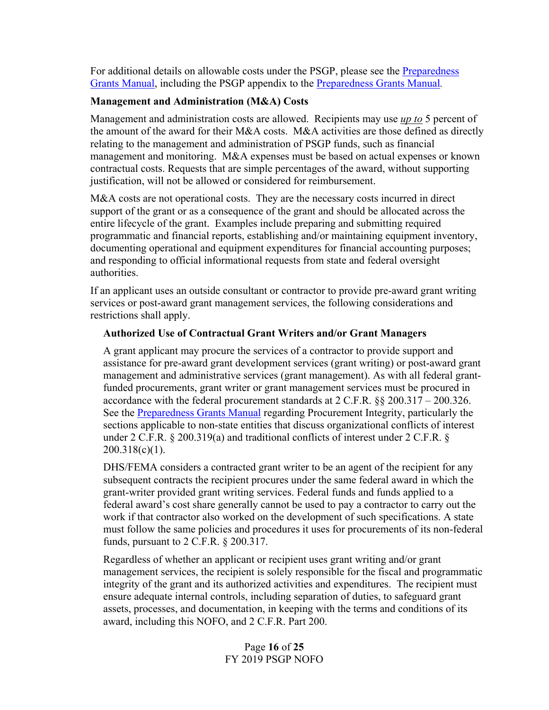For additional details on allowable costs under the PSGP, please see the [Preparedness](https://www.fema.gov/media-library/assets/documents/178291)  [Grants Manual,](https://www.fema.gov/media-library/assets/documents/178291) including the PSGP appendix to the [Preparedness Grants Manual](https://www.fema.gov/media-library/assets/documents/178291)*.*

#### **Management and Administration (M&A) Costs**

Management and administration costs are allowed. Recipients may use *up to* 5 percent of the amount of the award for their M&A costs. M&A activities are those defined as directly relating to the management and administration of PSGP funds, such as financial management and monitoring. M&A expenses must be based on actual expenses or known contractual costs. Requests that are simple percentages of the award, without supporting justification, will not be allowed or considered for reimbursement.

M&A costs are not operational costs. They are the necessary costs incurred in direct support of the grant or as a consequence of the grant and should be allocated across the entire lifecycle of the grant. Examples include preparing and submitting required programmatic and financial reports, establishing and/or maintaining equipment inventory, documenting operational and equipment expenditures for financial accounting purposes; and responding to official informational requests from state and federal oversight authorities.

If an applicant uses an outside consultant or contractor to provide pre-award grant writing services or post-award grant management services, the following considerations and restrictions shall apply.

#### **Authorized Use of Contractual Grant Writers and/or Grant Managers**

A grant applicant may procure the services of a contractor to provide support and assistance for pre-award grant development services (grant writing) or post-award grant management and administrative services (grant management). As with all federal grantfunded procurements, grant writer or grant management services must be procured in accordance with the federal procurement standards at 2 C.F.R. §§ 200.317 – 200.326. See the [Preparedness Grants Manual](https://www.fema.gov/media-library/assets/documents/178291) regarding Procurement Integrity, particularly the sections applicable to non-state entities that discuss organizational conflicts of interest under 2 C.F.R. § 200.319(a) and traditional conflicts of interest under 2 C.F.R. § 200.318(c)(1).

DHS/FEMA considers a contracted grant writer to be an agent of the recipient for any subsequent contracts the recipient procures under the same federal award in which the grant-writer provided grant writing services. Federal funds and funds applied to a federal award's cost share generally cannot be used to pay a contractor to carry out the work if that contractor also worked on the development of such specifications. A state must follow the same policies and procedures it uses for procurements of its non-federal funds, pursuant to 2 C.F.R. § 200.317.

Regardless of whether an applicant or recipient uses grant writing and/or grant management services, the recipient is solely responsible for the fiscal and programmatic integrity of the grant and its authorized activities and expenditures. The recipient must ensure adequate internal controls, including separation of duties, to safeguard grant assets, processes, and documentation, in keeping with the terms and conditions of its award, including this NOFO, and 2 C.F.R. Part 200.

> Page **16** of **25** FY 2019 PSGP NOFO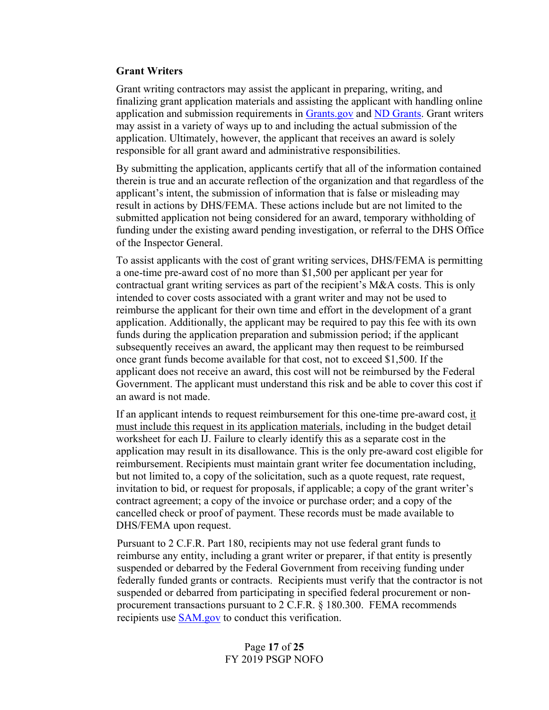#### **Grant Writers**

Grant writing contractors may assist the applicant in preparing, writing, and finalizing grant application materials and assisting the applicant with handling online application and submission requirements in [Grants.gov](http://www.grants.gov/) and [ND Grants.](https://portal.fema.gov/famsVuWeb/home) Grant writers may assist in a variety of ways up to and including the actual submission of the application. Ultimately, however, the applicant that receives an award is solely responsible for all grant award and administrative responsibilities.

By submitting the application, applicants certify that all of the information contained therein is true and an accurate reflection of the organization and that regardless of the applicant's intent, the submission of information that is false or misleading may result in actions by DHS/FEMA. These actions include but are not limited to the submitted application not being considered for an award, temporary withholding of funding under the existing award pending investigation, or referral to the DHS Office of the Inspector General.

To assist applicants with the cost of grant writing services, DHS/FEMA is permitting a one-time pre-award cost of no more than \$1,500 per applicant per year for contractual grant writing services as part of the recipient's M&A costs. This is only intended to cover costs associated with a grant writer and may not be used to reimburse the applicant for their own time and effort in the development of a grant application. Additionally, the applicant may be required to pay this fee with its own funds during the application preparation and submission period; if the applicant subsequently receives an award, the applicant may then request to be reimbursed once grant funds become available for that cost, not to exceed \$1,500. If the applicant does not receive an award, this cost will not be reimbursed by the Federal Government. The applicant must understand this risk and be able to cover this cost if an award is not made.

If an applicant intends to request reimbursement for this one-time pre-award cost, it must include this request in its application materials, including in the budget detail worksheet for each IJ. Failure to clearly identify this as a separate cost in the application may result in its disallowance. This is the only pre-award cost eligible for reimbursement. Recipients must maintain grant writer fee documentation including, but not limited to, a copy of the solicitation, such as a quote request, rate request, invitation to bid, or request for proposals, if applicable; a copy of the grant writer's contract agreement; a copy of the invoice or purchase order; and a copy of the cancelled check or proof of payment. These records must be made available to DHS/FEMA upon request.

Pursuant to 2 C.F.R. Part 180, recipients may not use federal grant funds to reimburse any entity, including a grant writer or preparer, if that entity is presently suspended or debarred by the Federal Government from receiving funding under federally funded grants or contracts. Recipients must verify that the contractor is not suspended or debarred from participating in specified federal procurement or nonprocurement transactions pursuant to 2 C.F.R. § 180.300. FEMA recommends recipients use [SAM.gov](https://sam.gov/SAM/) to conduct this verification.

> Page **17** of **25** FY 2019 PSGP NOFO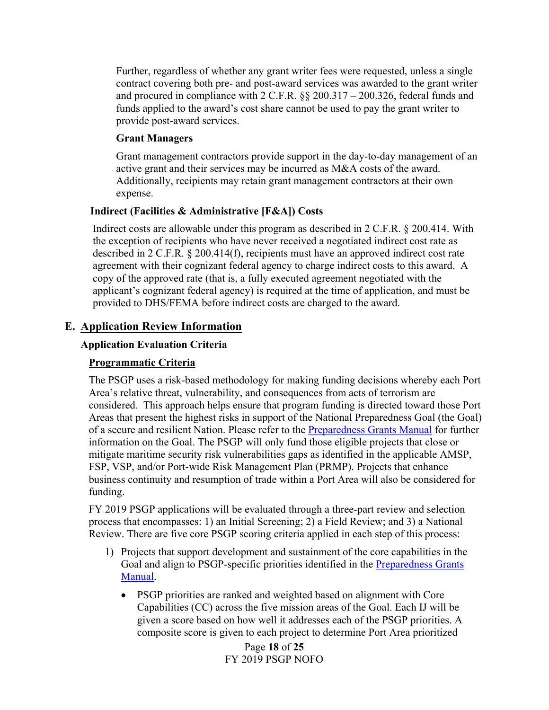Further, regardless of whether any grant writer fees were requested, unless a single contract covering both pre- and post-award services was awarded to the grant writer and procured in compliance with 2 C.F.R. §§ 200.317 – 200.326, federal funds and funds applied to the award's cost share cannot be used to pay the grant writer to provide post-award services.

#### **Grant Managers**

Grant management contractors provide support in the day-to-day management of an active grant and their services may be incurred as M&A costs of the award. Additionally, recipients may retain grant management contractors at their own expense.

### **Indirect (Facilities & Administrative [F&A]) Costs**

Indirect costs are allowable under this program as described in 2 C.F.R. § 200.414. With the exception of recipients who have never received a negotiated indirect cost rate as described in 2 C.F.R. § 200.414(f), recipients must have an approved indirect cost rate agreement with their cognizant federal agency to charge indirect costs to this award. A copy of the approved rate (that is, a fully executed agreement negotiated with the applicant's cognizant federal agency) is required at the time of application, and must be provided to DHS/FEMA before indirect costs are charged to the award.

# **E. Application Review Information**

### **Application Evaluation Criteria**

## **Programmatic Criteria**

The PSGP uses a risk-based methodology for making funding decisions whereby each Port Area's relative threat, vulnerability, and consequences from acts of terrorism are considered. This approach helps ensure that program funding is directed toward those Port Areas that present the highest risks in support of the National Preparedness Goal (the Goal) of a secure and resilient Nation. Please refer to the [Preparedness Grants Manual](https://www.fema.gov/media-library/assets/documents/178291) for further information on the Goal. The PSGP will only fund those eligible projects that close or mitigate maritime security risk vulnerabilities gaps as identified in the applicable AMSP, FSP, VSP, and/or Port-wide Risk Management Plan (PRMP). Projects that enhance business continuity and resumption of trade within a Port Area will also be considered for funding.

FY 2019 PSGP applications will be evaluated through a three-part review and selection process that encompasses: 1) an Initial Screening; 2) a Field Review; and 3) a National Review. There are five core PSGP scoring criteria applied in each step of this process:

- 1) Projects that support development and sustainment of the core capabilities in the Goal and align to PSGP-specific priorities identified in the [Preparedness Grants](https://www.fema.gov/media-library/assets/documents/178291)  [Manual.](https://www.fema.gov/media-library/assets/documents/178291)
	- PSGP priorities are ranked and weighted based on alignment with Core Capabilities (CC) across the five mission areas of the Goal. Each IJ will be given a score based on how well it addresses each of the PSGP priorities. A composite score is given to each project to determine Port Area prioritized

Page **18** of **25** FY 2019 PSGP NOFO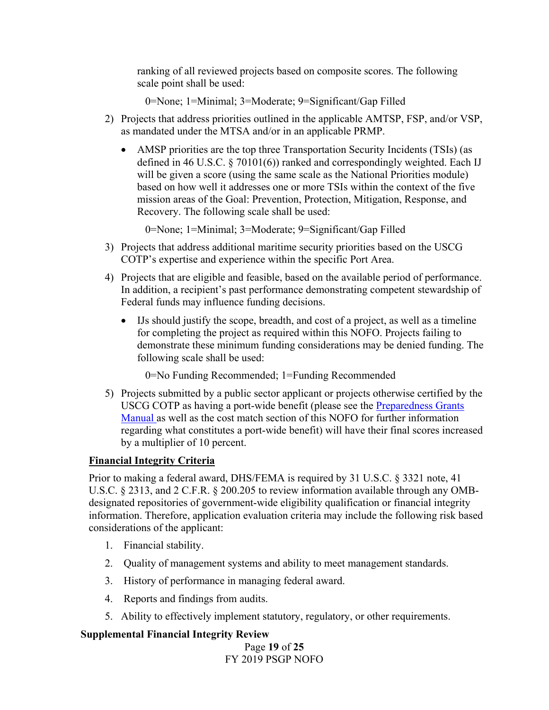ranking of all reviewed projects based on composite scores. The following scale point shall be used:

0=None; 1=Minimal; 3=Moderate; 9=Significant/Gap Filled

- 2) Projects that address priorities outlined in the applicable AMTSP, FSP, and/or VSP, as mandated under the MTSA and/or in an applicable PRMP.
	- AMSP priorities are the top three Transportation Security Incidents (TSIs) (as defined in 46 U.S.C. § 70101(6)) ranked and correspondingly weighted. Each IJ will be given a score (using the same scale as the National Priorities module) based on how well it addresses one or more TSIs within the context of the five mission areas of the Goal: Prevention, Protection, Mitigation, Response, and Recovery. The following scale shall be used:

0=None; 1=Minimal; 3=Moderate; 9=Significant/Gap Filled

- 3) Projects that address additional maritime security priorities based on the USCG COTP's expertise and experience within the specific Port Area.
- 4) Projects that are eligible and feasible, based on the available period of performance. In addition, a recipient's past performance demonstrating competent stewardship of Federal funds may influence funding decisions.
	- IJs should justify the scope, breadth, and cost of a project, as well as a timeline for completing the project as required within this NOFO. Projects failing to demonstrate these minimum funding considerations may be denied funding. The following scale shall be used:

0=No Funding Recommended; 1=Funding Recommended

5) Projects submitted by a public sector applicant or projects otherwise certified by the USCG COTP as having a port-wide benefit (please see the [Preparedness Grants](https://www.fema.gov/media-library/assets/documents/178291)  [Manual](https://www.fema.gov/media-library/assets/documents/178291) as well as the cost match section of this NOFO for further information regarding what constitutes a port-wide benefit) will have their final scores increased by a multiplier of 10 percent.

## **Financial Integrity Criteria**

Prior to making a federal award, DHS/FEMA is required by 31 U.S.C. § 3321 note, 41 U.S.C. § 2313, and 2 C.F.R. § 200.205 to review information available through any OMBdesignated repositories of government-wide eligibility qualification or financial integrity information. Therefore, application evaluation criteria may include the following risk based considerations of the applicant:

- 1. Financial stability.
- 2. Quality of management systems and ability to meet management standards.
- 3. History of performance in managing federal award.
- 4. Reports and findings from audits.
- 5. Ability to effectively implement statutory, regulatory, or other requirements.

## **Supplemental Financial Integrity Review**

Page **19** of **25** FY 2019 PSGP NOFO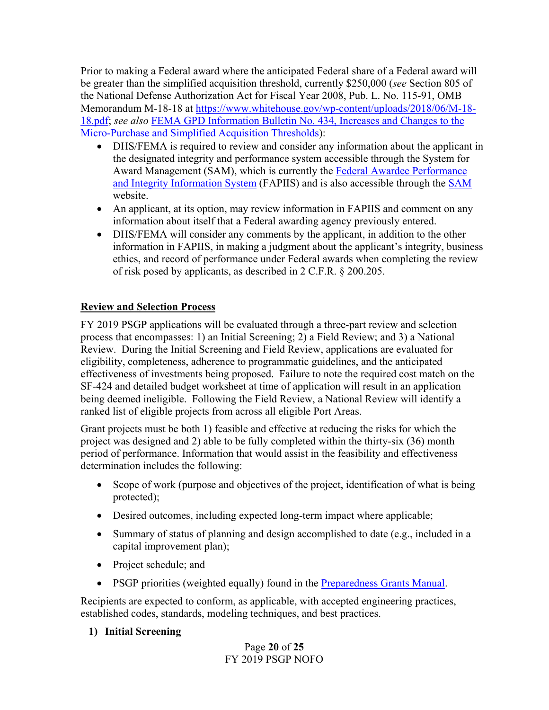Prior to making a Federal award where the anticipated Federal share of a Federal award will be greater than the simplified acquisition threshold, currently \$250,000 (*see* Section 805 of the National Defense Authorization Act for Fiscal Year 2008, Pub. L. No. 115-91, OMB Memorandum M-18-18 at [https://www.whitehouse.gov/wp-content/uploads/2018/06/M-18-](https://www.whitehouse.gov/wp-content/uploads/2018/06/M-18-18.pdf) [18.pdf;](https://www.whitehouse.gov/wp-content/uploads/2018/06/M-18-18.pdf) *see also* [FEMA GPD Information Bulletin No. 434, Increases and Changes to the](https://www.fema.gov/media-library-data/1535477410796-10abe5c8fc5bb73f170e3025c6fbfc6a/IB_Changes_to_the_Micro_Purch_and_Simp_Acquisition_Thresholds_signed_508.pdf)  [Micro-Purchase and Simplified Acquisition Thresholds\)](https://www.fema.gov/media-library-data/1535477410796-10abe5c8fc5bb73f170e3025c6fbfc6a/IB_Changes_to_the_Micro_Purch_and_Simp_Acquisition_Thresholds_signed_508.pdf):

- DHS/FEMA is required to review and consider any information about the applicant in the designated integrity and performance system accessible through the System for Award Management (SAM), which is currently the [Federal Awardee Performance](https://www.fapiis.gov/fapiis/index.action)  [and Integrity Information System](https://www.fapiis.gov/fapiis/index.action) (FAPIIS) and is also accessible through the [SAM](https://www.sam.gov/portal/SAM/#1) website.
- An applicant, at its option, may review information in FAPIIS and comment on any information about itself that a Federal awarding agency previously entered.
- DHS/FEMA will consider any comments by the applicant, in addition to the other information in FAPIIS, in making a judgment about the applicant's integrity, business ethics, and record of performance under Federal awards when completing the review of risk posed by applicants, as described in 2 C.F.R. § 200.205.

## **Review and Selection Process**

FY 2019 PSGP applications will be evaluated through a three-part review and selection process that encompasses: 1) an Initial Screening; 2) a Field Review; and 3) a National Review. During the Initial Screening and Field Review, applications are evaluated for eligibility, completeness, adherence to programmatic guidelines, and the anticipated effectiveness of investments being proposed. Failure to note the required cost match on the SF-424 and detailed budget worksheet at time of application will result in an application being deemed ineligible. Following the Field Review, a National Review will identify a ranked list of eligible projects from across all eligible Port Areas.

Grant projects must be both 1) feasible and effective at reducing the risks for which the project was designed and 2) able to be fully completed within the thirty-six (36) month period of performance. Information that would assist in the feasibility and effectiveness determination includes the following:

- Scope of work (purpose and objectives of the project, identification of what is being protected);
- Desired outcomes, including expected long-term impact where applicable;
- Summary of status of planning and design accomplished to date (e.g., included in a capital improvement plan);
- Project schedule; and
- PSGP priorities (weighted equally) found in the [Preparedness Grants Manual.](https://www.fema.gov/media-library/assets/documents/178291)

Recipients are expected to conform, as applicable, with accepted engineering practices, established codes, standards, modeling techniques, and best practices.

## **1) Initial Screening**

Page **20** of **25** FY 2019 PSGP NOFO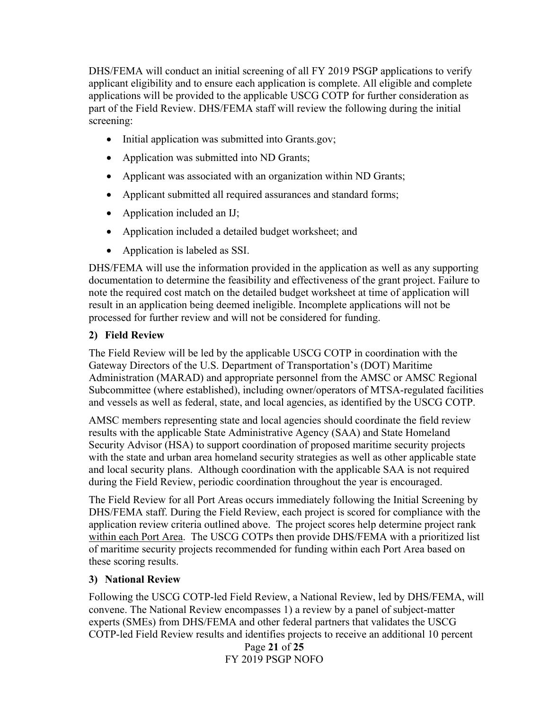DHS/FEMA will conduct an initial screening of all FY 2019 PSGP applications to verify applicant eligibility and to ensure each application is complete. All eligible and complete applications will be provided to the applicable USCG COTP for further consideration as part of the Field Review. DHS/FEMA staff will review the following during the initial screening:

- Initial application was submitted into Grants.gov;
- Application was submitted into ND Grants;
- Applicant was associated with an organization within ND Grants;
- Applicant submitted all required assurances and standard forms;
- Application included an IJ;
- Application included a detailed budget worksheet; and
- Application is labeled as SSI.

DHS/FEMA will use the information provided in the application as well as any supporting documentation to determine the feasibility and effectiveness of the grant project. Failure to note the required cost match on the detailed budget worksheet at time of application will result in an application being deemed ineligible. Incomplete applications will not be processed for further review and will not be considered for funding.

## **2) Field Review**

The Field Review will be led by the applicable USCG COTP in coordination with the Gateway Directors of the U.S. Department of Transportation's (DOT) Maritime Administration (MARAD) and appropriate personnel from the AMSC or AMSC Regional Subcommittee (where established), including owner/operators of MTSA-regulated facilities and vessels as well as federal, state, and local agencies, as identified by the USCG COTP.

AMSC members representing state and local agencies should coordinate the field review results with the applicable State Administrative Agency (SAA) and State Homeland Security Advisor (HSA) to support coordination of proposed maritime security projects with the state and urban area homeland security strategies as well as other applicable state and local security plans. Although coordination with the applicable SAA is not required during the Field Review, periodic coordination throughout the year is encouraged.

The Field Review for all Port Areas occurs immediately following the Initial Screening by DHS/FEMA staff. During the Field Review, each project is scored for compliance with the application review criteria outlined above. The project scores help determine project rank within each Port Area. The USCG COTPs then provide DHS/FEMA with a prioritized list of maritime security projects recommended for funding within each Port Area based on these scoring results.

## **3) National Review**

Following the USCG COTP-led Field Review, a National Review, led by DHS/FEMA, will convene. The National Review encompasses 1) a review by a panel of subject-matter experts (SMEs) from DHS/FEMA and other federal partners that validates the USCG COTP-led Field Review results and identifies projects to receive an additional 10 percent

Page **21** of **25** FY 2019 PSGP NOFO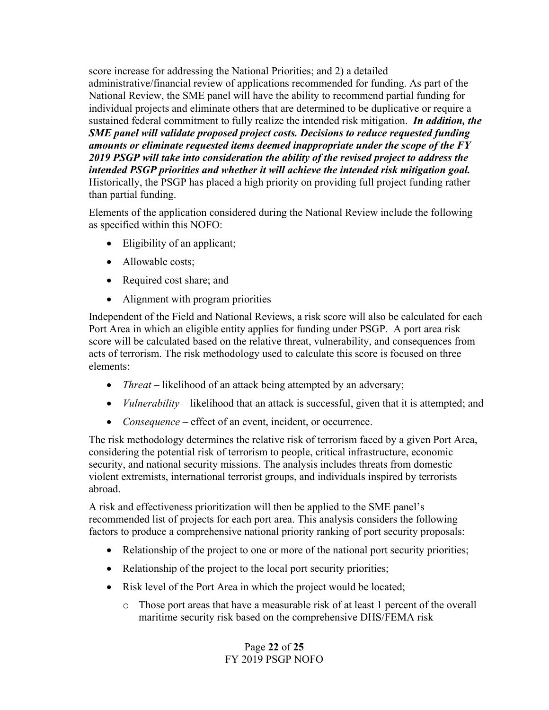score increase for addressing the National Priorities; and 2) a detailed administrative/financial review of applications recommended for funding. As part of the National Review, the SME panel will have the ability to recommend partial funding for individual projects and eliminate others that are determined to be duplicative or require a sustained federal commitment to fully realize the intended risk mitigation. *In addition, the SME panel will validate proposed project costs. Decisions to reduce requested funding amounts or eliminate requested items deemed inappropriate under the scope of the FY 2019 PSGP will take into consideration the ability of the revised project to address the intended PSGP priorities and whether it will achieve the intended risk mitigation goal.*  Historically, the PSGP has placed a high priority on providing full project funding rather than partial funding.

Elements of the application considered during the National Review include the following as specified within this NOFO:

- Eligibility of an applicant;
- Allowable costs;
- Required cost share; and
- Alignment with program priorities

Independent of the Field and National Reviews, a risk score will also be calculated for each Port Area in which an eligible entity applies for funding under PSGP. A port area risk score will be calculated based on the relative threat, vulnerability, and consequences from acts of terrorism. The risk methodology used to calculate this score is focused on three elements:

- *Threat* likelihood of an attack being attempted by an adversary;
- *Vulnerability* likelihood that an attack is successful, given that it is attempted; and
- *Consequence* effect of an event, incident, or occurrence.

The risk methodology determines the relative risk of terrorism faced by a given Port Area, considering the potential risk of terrorism to people, critical infrastructure, economic security, and national security missions. The analysis includes threats from domestic violent extremists, international terrorist groups, and individuals inspired by terrorists abroad.

A risk and effectiveness prioritization will then be applied to the SME panel's recommended list of projects for each port area. This analysis considers the following factors to produce a comprehensive national priority ranking of port security proposals:

- Relationship of the project to one or more of the national port security priorities;
- Relationship of the project to the local port security priorities;
- Risk level of the Port Area in which the project would be located;
	- o Those port areas that have a measurable risk of at least 1 percent of the overall maritime security risk based on the comprehensive DHS/FEMA risk

#### Page **22** of **25** FY 2019 PSGP NOFO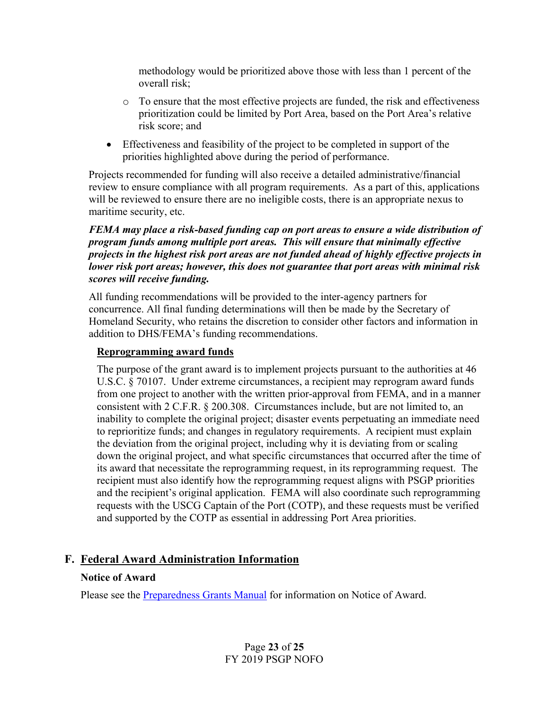methodology would be prioritized above those with less than 1 percent of the overall risk;

- o To ensure that the most effective projects are funded, the risk and effectiveness prioritization could be limited by Port Area, based on the Port Area's relative risk score; and
- Effectiveness and feasibility of the project to be completed in support of the priorities highlighted above during the period of performance.

Projects recommended for funding will also receive a detailed administrative/financial review to ensure compliance with all program requirements. As a part of this, applications will be reviewed to ensure there are no ineligible costs, there is an appropriate nexus to maritime security, etc.

#### *FEMA may place a risk-based funding cap on port areas to ensure a wide distribution of program funds among multiple port areas. This will ensure that minimally effective projects in the highest risk port areas are not funded ahead of highly effective projects in lower risk port areas; however, this does not guarantee that port areas with minimal risk scores will receive funding.*

All funding recommendations will be provided to the inter-agency partners for concurrence. All final funding determinations will then be made by the Secretary of Homeland Security, who retains the discretion to consider other factors and information in addition to DHS/FEMA's funding recommendations.

## **Reprogramming award funds**

The purpose of the grant award is to implement projects pursuant to the authorities at 46 U.S.C. § 70107. Under extreme circumstances, a recipient may reprogram award funds from one project to another with the written prior-approval from FEMA, and in a manner consistent with 2 C.F.R. § 200.308. Circumstances include, but are not limited to, an inability to complete the original project; disaster events perpetuating an immediate need to reprioritize funds; and changes in regulatory requirements. A recipient must explain the deviation from the original project, including why it is deviating from or scaling down the original project, and what specific circumstances that occurred after the time of its award that necessitate the reprogramming request, in its reprogramming request. The recipient must also identify how the reprogramming request aligns with PSGP priorities and the recipient's original application. FEMA will also coordinate such reprogramming requests with the USCG Captain of the Port (COTP), and these requests must be verified and supported by the COTP as essential in addressing Port Area priorities.

# **F. Federal Award Administration Information**

#### **Notice of Award**

Please see the [Preparedness Grants Manual](https://www.fema.gov/media-library/assets/documents/178291) for information on Notice of Award.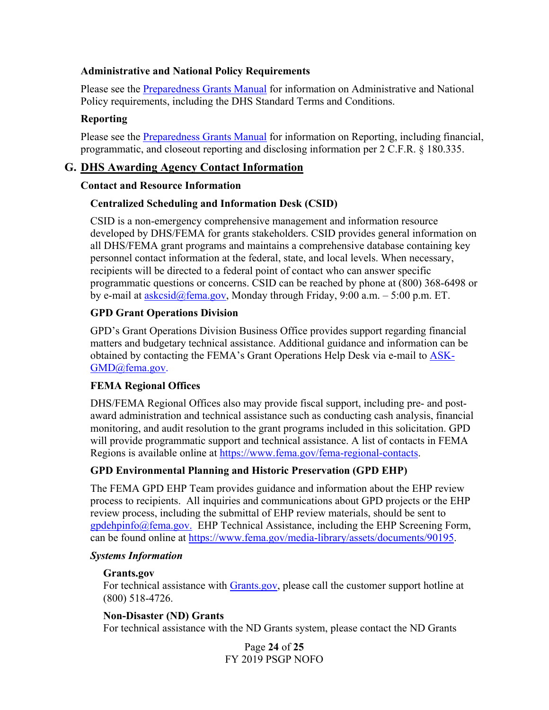#### **Administrative and National Policy Requirements**

Please see the [Preparedness Grants Manual](https://www.fema.gov/media-library/assets/documents/178291) for information on Administrative and National Policy requirements, including the DHS Standard Terms and Conditions.

## **Reporting**

Please see the [Preparedness Grants Manual](https://www.fema.gov/media-library/assets/documents/178291) for information on Reporting, including financial, programmatic, and closeout reporting and disclosing information per 2 C.F.R. § 180.335.

### **G. DHS Awarding Agency Contact Information**

#### **Contact and Resource Information**

#### **Centralized Scheduling and Information Desk (CSID)**

CSID is a non-emergency comprehensive management and information resource developed by DHS/FEMA for grants stakeholders. CSID provides general information on all DHS/FEMA grant programs and maintains a comprehensive database containing key personnel contact information at the federal, state, and local levels. When necessary, recipients will be directed to a federal point of contact who can answer specific programmatic questions or concerns. CSID can be reached by phone at (800) 368-6498 or by e-mail at [askcsid@fema.gov,](mailto:askcsid@fema.gov,) Monday through Friday, 9:00 a.m. – 5:00 p.m. ET.

### **GPD Grant Operations Division**

GPD's Grant Operations Division Business Office provides support regarding financial matters and budgetary technical assistance. Additional guidance and information can be obtained by contacting the FEMA's Grant Operations Help Desk via e-mail to [ASK-](mailto:ASK-GMD@fema.gov)[GMD@fema.gov.](mailto:ASK-GMD@fema.gov)

#### **FEMA Regional Offices**

DHS/FEMA Regional Offices also may provide fiscal support, including pre- and postaward administration and technical assistance such as conducting cash analysis, financial monitoring, and audit resolution to the grant programs included in this solicitation. GPD will provide programmatic support and technical assistance. A list of contacts in FEMA Regions is available online at [https://www.fema.gov/fema-regional-contacts.](https://www.fema.gov/fema-regional-contacts)

## **GPD Environmental Planning and Historic Preservation (GPD EHP)**

The FEMA GPD EHP Team provides guidance and information about the EHP review process to recipients. All inquiries and communications about GPD projects or the EHP review process, including the submittal of EHP review materials, should be sent to [gpdehpinfo@fema.gov.](mailto:gpdehpinfo@fema.gov) EHP Technical Assistance, including the EHP Screening Form, can be found online at [https://www.fema.gov/media-library/assets/documents/90195.](https://www.fema.gov/media-library/assets/documents/90195)

#### *Systems Information*

#### **Grants.gov**

For technical assistance with [Grants.gov,](http://www.grants.gov/) please call the customer support hotline at (800) 518-4726.

## **Non-Disaster (ND) Grants**

For technical assistance with the ND Grants system, please contact the ND Grants

Page **24** of **25** FY 2019 PSGP NOFO